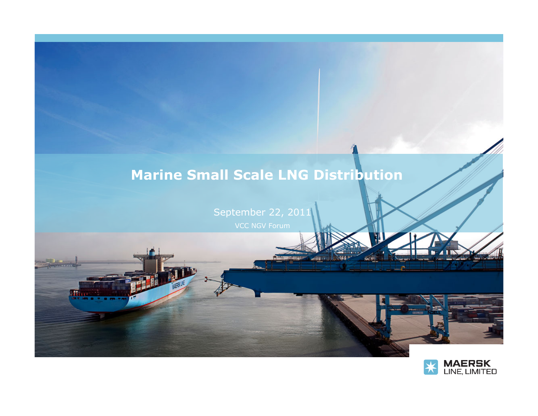# **Marine Small Scale LNG Distribution**

September 22, 2011

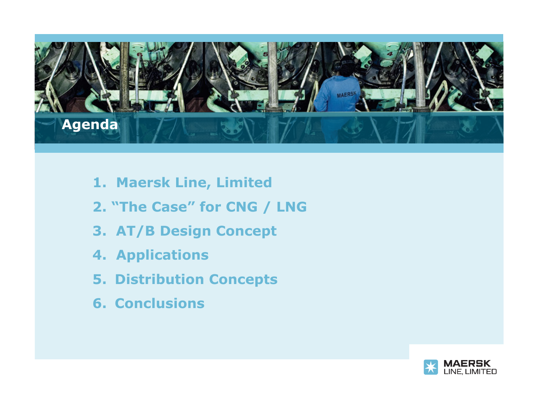

- **1. Maersk Line, Limited**
- **2. "The Case" for CNG / LNG**
- **3. AT/B Design Concept**
- **4. Applications**
- **5. Distribution Concepts**
- **6. Conclusions**

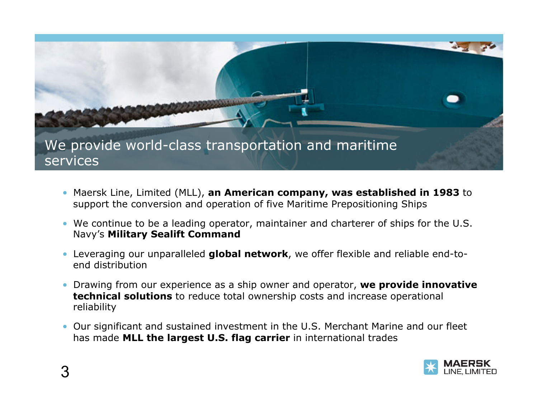

- Maersk Line, Limited (MLL), **an American company, was established in 1983** to support the conversion and operation of five Maritime Prepositioning Ships
- We continue to be a leading operator, maintainer and charterer of ships for the U.S. Navy's **Military Sealift Command**
- Leveraging our unparalleled **global network**, we offer flexible and reliable end-toend distribution
- Drawing from our experience as a ship owner and operator, **we provide innovative technical solutions** to reduce total ownership costs and increase operational reliability
- Our significant and sustained investment in the U.S. Merchant Marine and our fleet has made **MLL the largest U.S. flag carrier** in international trades

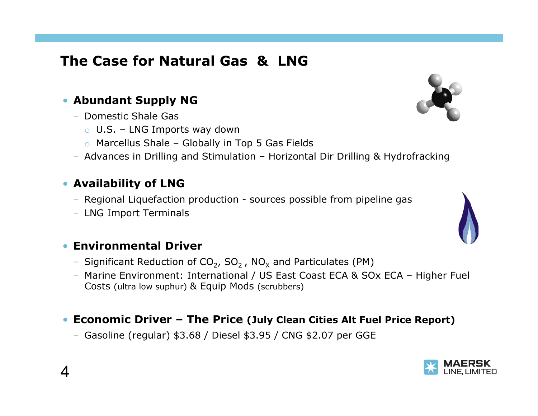## **The Case for Natural Gas & LNG**

#### • **Abundant Supply NG**

- Domestic Shale Gas
	- $\circ$  U.S. LNG Imports way down
	- $\circ$  Marcellus Shale Globally in Top 5 Gas Fields
- Advances in Drilling and Stimulation Horizontal Dir Drilling & Hydrofracking

#### • **Availability of LNG**

- Regional Liquefaction production sources possible from pipeline gas
- LNG Import Terminals

#### • **Environmental Driver**

- Significant Reduction of  $CO<sub>2</sub>$ ,  $SO<sub>2</sub>$ , NO<sub>x</sub> and Particulates (PM)
- Marine Environment: International / US East Coast ECA & SOx ECA Higher Fuel Costs (ultra low suphur) & Equip Mods (scrubbers)

#### • **Economic Driver – The Price (July Clean Cities Alt Fuel Price Report)**

– Gasoline (regular) \$3.68 / Diesel \$3.95 / CNG \$2.07 per GGE





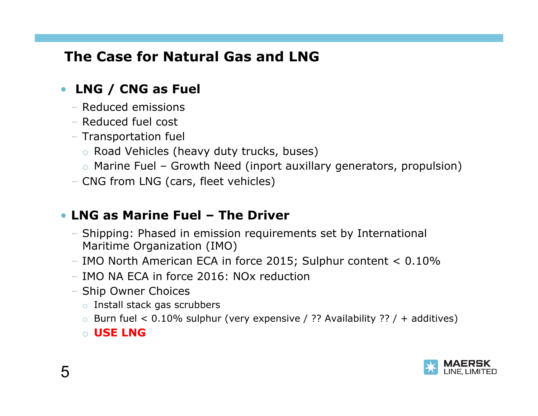## **The Case for Natural Gas and LNG**

### • **LNG / CNG as Fuel**

- Reduced emissions
- Reduced fuel cost
- Transportation fuel
	- o Road Vehicles (heavy duty trucks, buses)
	- $\circ$  Marine Fuel Growth Need (inport auxillary generators, propulsion)
- CNG from LNG (cars, fleet vehicles)

### • **LNG as Marine Fuel – The Driver**

- Shipping: Phased in emission requirements set by International Maritime Organization (IMO)
- IMO North American ECA in force 2015; Sulphur content < 0.10%
- IMO NA ECA in force 2016: NOx reduction
- Ship Owner Choices
	- o Install stack gas scrubbers
	- $\circ$  Burn fuel < 0.10% sulphur (very expensive / ?? Availability ?? / + additives)

o **USE LNG** 

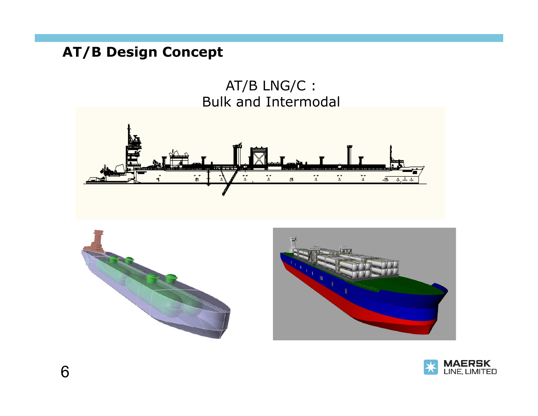## **AT/B Design Concept**

 AT/B LNG/C : Bulk and Intermodal









6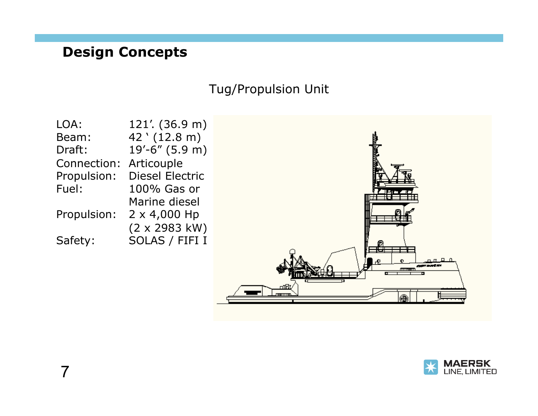### **Design Concepts**

### Tug/Propulsion Unit



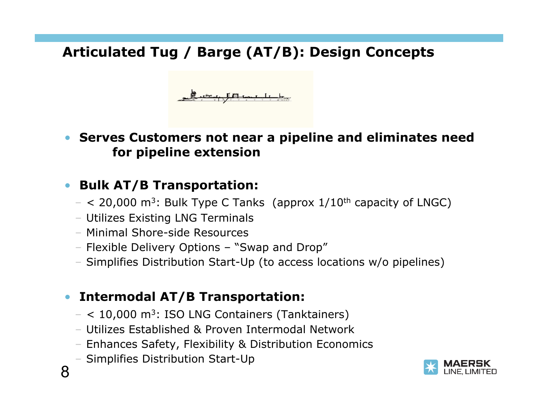## **Articulated Tug / Barge (AT/B): Design Concepts**



### • **Serves Customers not near a pipeline and eliminates need for pipeline extension**

### • **Bulk AT/B Transportation:**

- $-$  < 20,000 m<sup>3</sup>: Bulk Type C Tanks (approx  $1/10^{th}$  capacity of LNGC)
- Utilizes Existing LNG Terminals
- Minimal Shore-side Resources
- Flexible Delivery Options "Swap and Drop"
- Simplifies Distribution Start-Up (to access locations w/o pipelines)

### • **Intermodal AT/B Transportation:**

- $-$  < 10,000 m<sup>3</sup>: ISO LNG Containers (Tanktainers)
- Utilizes Established & Proven Intermodal Network
- Enhances Safety, Flexibility & Distribution Economics
- Simplifies Distribution Start-Up



8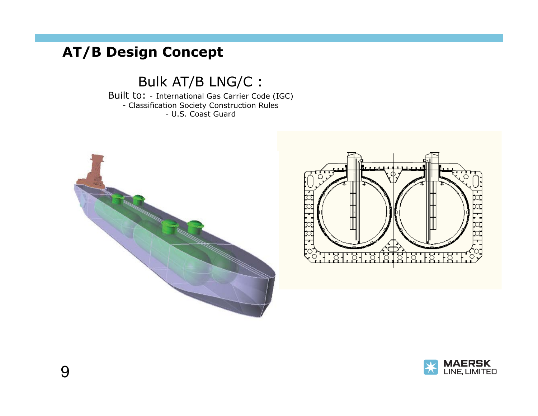## **AT/B Design Concept**

Bulk AT/B LNG/C :

Built to: - International Gas Carrier Code (IGC) - Classification Society Construction Rules - U.S. Coast Guard





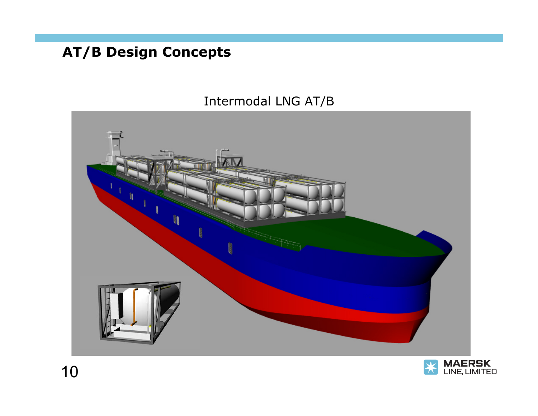**AT/B Design Concepts** 

### Intermodal LNG AT/B



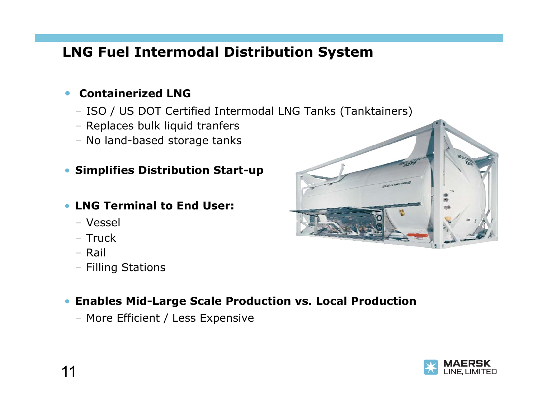## **LNG Fuel Intermodal Distribution System**

#### • **Containerized LNG**

- ISO / US DOT Certified Intermodal LNG Tanks (Tanktainers)
- Replaces bulk liquid tranfers
- No land-based storage tanks

#### • **Simplifies Distribution Start-up**

#### • **LNG Terminal to End User:**

- Vessel
- Truck
- Rail
- Filling Stations

#### • **Enables Mid-Large Scale Production vs. Local Production**

– More Efficient / Less Expensive



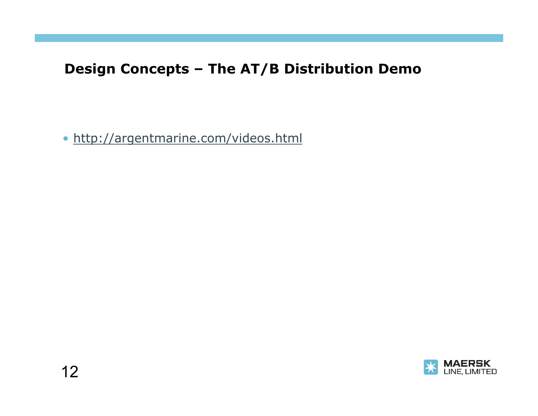## **Design Concepts – The AT/B Distribution Demo**

• http://argentmarine.com/videos.html

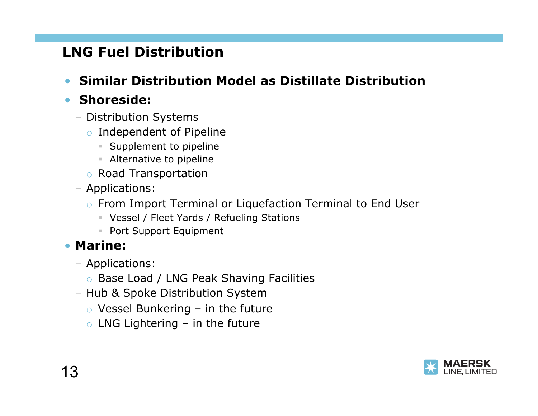## **LNG Fuel Distribution**

• **Similar Distribution Model as Distillate Distribution** 

### • **Shoreside:**

- Distribution Systems
	- o Independent of Pipeline
		- **Supplement to pipeline**
		- Alternative to pipeline
	- o Road Transportation
- Applications:
	- o From Import Terminal or Liquefaction Terminal to End User
		- Vessel / Fleet Yards / Refueling Stations
		- **Port Support Equipment**

### • **Marine:**

- Applications:
	- o Base Load / LNG Peak Shaving Facilities
- Hub & Spoke Distribution System
	- $\circ$  Vessel Bunkering in the future
	- $\circ$  LNG Lightering in the future

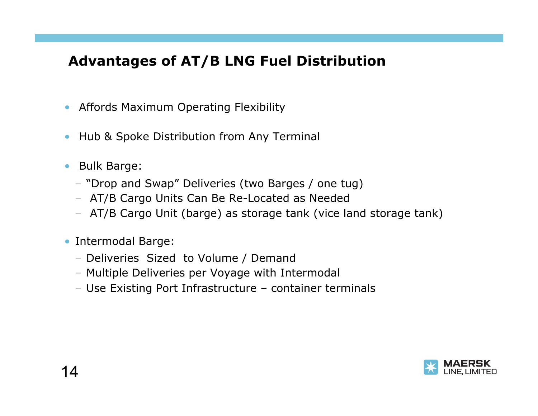## **Advantages of AT/B LNG Fuel Distribution**

- Affords Maximum Operating Flexibility
- Hub & Spoke Distribution from Any Terminal
- Bulk Barge:
	- "Drop and Swap" Deliveries (two Barges / one tug)
	- AT/B Cargo Units Can Be Re-Located as Needed
	- AT/B Cargo Unit (barge) as storage tank (vice land storage tank)
- Intermodal Barge:
	- Deliveries Sized to Volume / Demand
	- Multiple Deliveries per Voyage with Intermodal
	- Use Existing Port Infrastructure container terminals

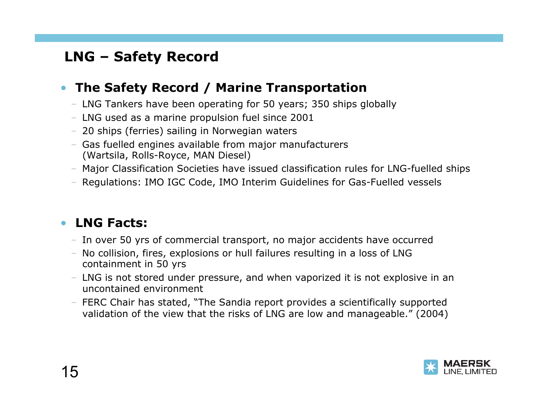## **LNG – Safety Record**

### • **The Safety Record / Marine Transportation**

- LNG Tankers have been operating for 50 years; 350 ships globally
- LNG used as a marine propulsion fuel since 2001
- 20 ships (ferries) sailing in Norwegian waters
- Gas fuelled engines available from major manufacturers (Wartsila, Rolls-Royce, MAN Diesel)
- Major Classification Societies have issued classification rules for LNG-fuelled ships
- Regulations: IMO IGC Code, IMO Interim Guidelines for Gas-Fuelled vessels

### • **LNG Facts:**

- In over 50 yrs of commercial transport, no major accidents have occurred
- No collision, fires, explosions or hull failures resulting in a loss of LNG containment in 50 yrs
- LNG is not stored under pressure, and when vaporized it is not explosive in an uncontained environment
- FERC Chair has stated, "The Sandia report provides a scientifically supported validation of the view that the risks of LNG are low and manageable." (2004)

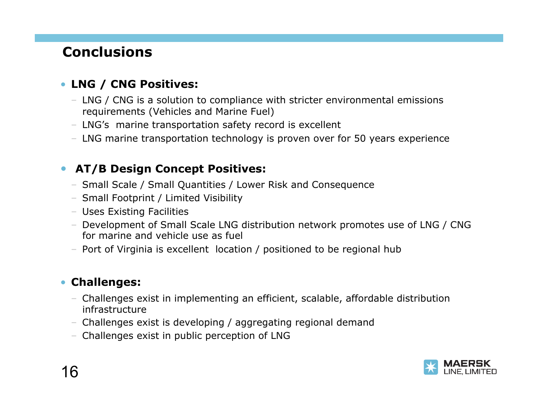## **Conclusions**

### • **LNG / CNG Positives:**

- LNG / CNG is a solution to compliance with stricter environmental emissions requirements (Vehicles and Marine Fuel)
- LNG's marine transportation safety record is excellent
- LNG marine transportation technology is proven over for 50 years experience

#### • **AT/B Design Concept Positives:**

- Small Scale / Small Quantities / Lower Risk and Consequence
- Small Footprint / Limited Visibility
- Uses Existing Facilities
- Development of Small Scale LNG distribution network promotes use of LNG / CNG for marine and vehicle use as fuel
- Port of Virginia is excellent location / positioned to be regional hub

#### • **Challenges:**

- Challenges exist in implementing an efficient, scalable, affordable distribution infrastructure
- Challenges exist is developing / aggregating regional demand
- Challenges exist in public perception of LNG